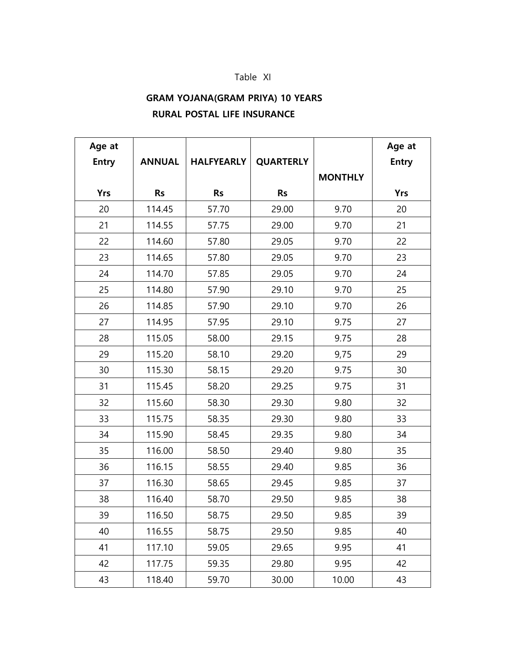## Table XI

## **GRAM YOJANA(GRAM PRIYA) 10 YEARS RURAL POSTAL LIFE INSURANCE**

| Age at       |               |                   |                  |                | Age at       |
|--------------|---------------|-------------------|------------------|----------------|--------------|
| <b>Entry</b> | <b>ANNUAL</b> | <b>HALFYEARLY</b> | <b>QUARTERLY</b> |                | <b>Entry</b> |
|              |               |                   |                  | <b>MONTHLY</b> |              |
| <b>Yrs</b>   | <b>Rs</b>     | <b>Rs</b>         | <b>Rs</b>        |                | <b>Yrs</b>   |
| 20           | 114.45        | 57.70             | 29.00            | 9.70           | 20           |
| 21           | 114.55        | 57.75             | 29.00            | 9.70           | 21           |
| 22           | 114.60        | 57.80             | 29.05            | 9.70           | 22           |
| 23           | 114.65        | 57.80             | 29.05            | 9.70           | 23           |
| 24           | 114.70        | 57.85             | 29.05            | 9.70           | 24           |
| 25           | 114.80        | 57.90             | 29.10            | 9.70           | 25           |
| 26           | 114.85        | 57.90             | 29.10            | 9.70           | 26           |
| 27           | 114.95        | 57.95             | 29.10            | 9.75           | 27           |
| 28           | 115.05        | 58.00             | 29.15            | 9.75           | 28           |
| 29           | 115.20        | 58.10             | 29.20            | 9,75           | 29           |
| 30           | 115.30        | 58.15             | 29.20            | 9.75           | 30           |
| 31           | 115.45        | 58.20             | 29.25            | 9.75           | 31           |
| 32           | 115.60        | 58.30             | 29.30            | 9.80           | 32           |
| 33           | 115.75        | 58.35             | 29.30            | 9.80           | 33           |
| 34           | 115.90        | 58.45             | 29.35            | 9.80           | 34           |
| 35           | 116.00        | 58.50             | 29.40            | 9.80           | 35           |
| 36           | 116.15        | 58.55             | 29.40            | 9.85           | 36           |
| 37           | 116.30        | 58.65             | 29.45            | 9.85           | 37           |
| 38           | 116.40        | 58.70             | 29.50            | 9.85           | 38           |
| 39           | 116.50        | 58.75             | 29.50            | 9.85           | 39           |
| 40           | 116.55        | 58.75             | 29.50            | 9.85           | 40           |
| 41           | 117.10        | 59.05             | 29.65            | 9.95           | 41           |
| 42           | 117.75        | 59.35             | 29.80            | 9.95           | 42           |
| 43           | 118.40        | 59.70             | 30.00            | 10.00          | 43           |